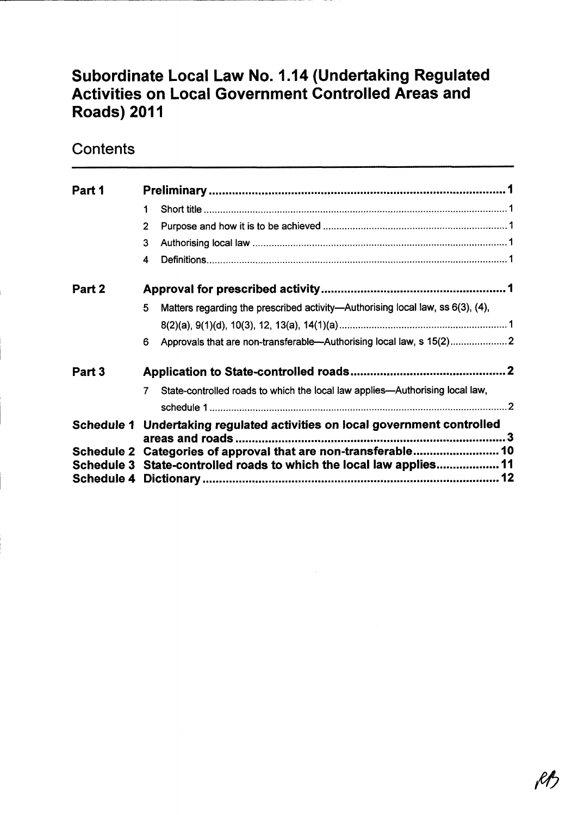# Subordinate Local Law No. 1.14 (Undertaking Regulated Activities on Local Government Controlled Areas and Roads) 2011

## **Contents**

| Part 1     |                                                                                                                                       |  |  |
|------------|---------------------------------------------------------------------------------------------------------------------------------------|--|--|
|            | 1                                                                                                                                     |  |  |
|            | 2                                                                                                                                     |  |  |
|            | 3                                                                                                                                     |  |  |
|            | 4                                                                                                                                     |  |  |
| Part 2     |                                                                                                                                       |  |  |
|            | Matters regarding the prescribed activity—Authorising local law, ss 6(3), (4),<br>5                                                   |  |  |
|            |                                                                                                                                       |  |  |
|            | Approvals that are non-transferable--Authorising local law, s 15(2)<br>6                                                              |  |  |
| Part 3     |                                                                                                                                       |  |  |
|            | State-controlled roads to which the local law applies—Authorising local law,                                                          |  |  |
|            |                                                                                                                                       |  |  |
|            | Schedule 1 Undertaking regulated activities on local government controlled<br>areas and roads                                         |  |  |
| Schedule 4 | Schedule 2 Categories of approval that are non-transferable 10<br>Schedule 3 State-controlled roads to which the local law applies 11 |  |  |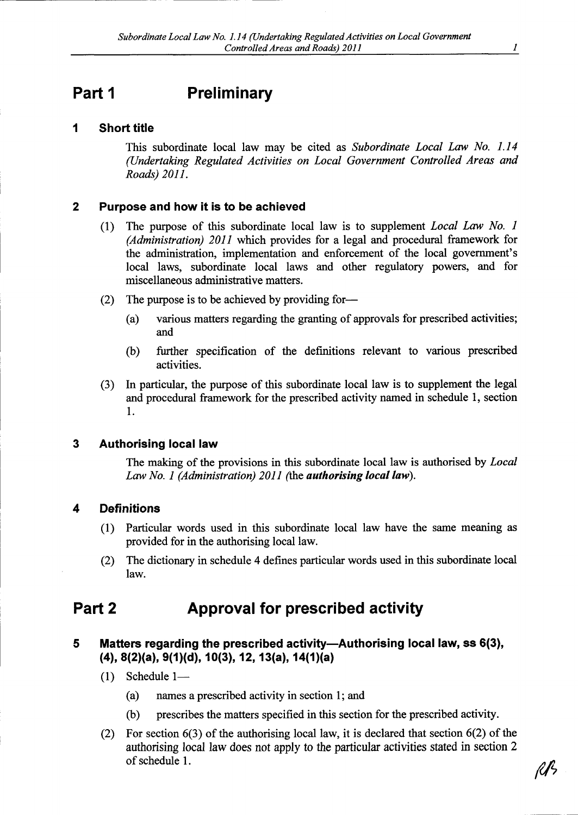## Part 1 Preliminary

### 1 Short title

This subordinate local law may be cited as Subordinate Local Law No. 1.14 (Undertaking Regulated Activities on Local Government Controlled Areas and Roads)2011.

#### 2 Purpose and how it is to be achieved

- (1) The purpose of this subordinate local law is to supplement Local Law No. 1 (Administration) 2011 which provides for a legal and procedural framework for the administration, implementation and enforcement of the local government's local laws, subordinate local laws and other regulatory powers, and for miscellaneous administrative matters.
- (2) The purpose is to be achieved by providing for-
	- (a) various matters regarding the granting of approvals for prescribed activities; and
	- (b) further specification of the definitions relevant to various prescribed activities.
- (3) In particular, the purpose of this subordinate local law is to supplement the legal and procedural framework for the prescribed activity named in schedule 1, section 1.

#### 3 Authorising local law

The making of the provisions in this subordinate local law is authorised by *Local* Law No. 1 (Administration) 2011 (the **authorising local law**).

### 4 Definitions

- (1) Particular words used in this subordinate local law have the same meaning as provided for in the authorising local law.
- (2) The dictionary in schedule 4 defines particular words used in this subordinate local law.

## Part 2 Approval for prescribed activity

### 5 Matters regarding the prescribed activity-Authorising local law, ss 6(3), (4), 8(2)(a), 9(1)(d), 10(3), 12, 13(a), 14(1)(a)

- $(1)$  Schedule 1--
	- (a) names <sup>a</sup> prescribed activity in section 1; and
	- (b) prescribes the matters specified in this section for the prescribed activity.
- (2) For section 6(3) of the authorising local law, it is declared that section 6(2) of the authorising local law does not apply to the particular activities stated in section <sup>2</sup> of schedule 1.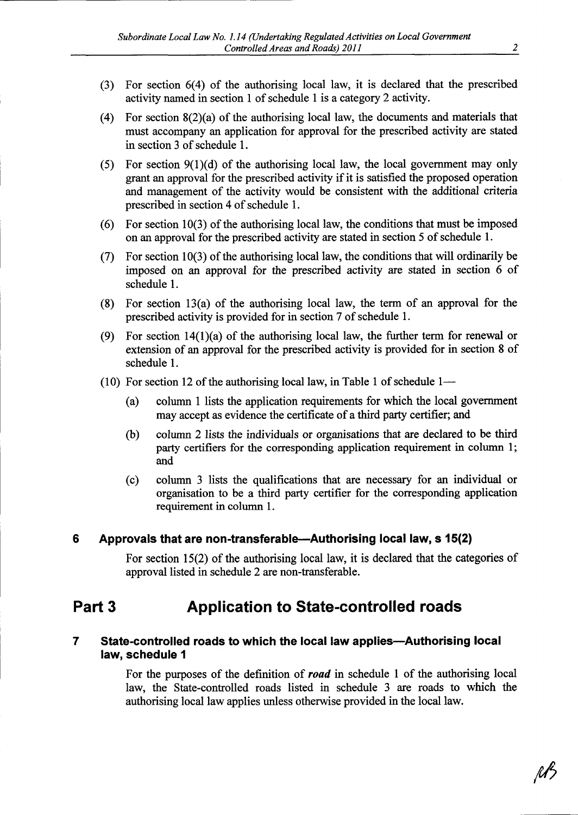- (3) For section 6(4) of the authorising local law, it is declared that the prescribed activity named in section 1 of schedule 1 is <sup>a</sup> category 2 activity.
- (4) For section  $8(2)(a)$  of the authorising local law, the documents and materials that must accompany an application for approval for the prescribed activity are stated in section 3 of schedule 1.
- (5) For section  $9(1)(d)$  of the authorising local law, the local government may only grant an approval for the prescribed activity if it is satisfied the proposed operation and management of the activity would be consistent with the additional criteria prescribed in section 4 of schedule 1.
- (6) For section 10(3) of the authorising local law, the conditions that must be imposed on an approval for the prescribed activity are stated in section 5 of schedule 1.
- (7) For section 10(3) of the authorising local law, the conditions that will ordinarily be imposed on an approval for the prescribed activity are stated in section 6 of schedule 1.
- (8) For section 13(a) of the authorising local law, the term of an approval for the prescribed activity is provided for in section 7 of schedule 1.
- (9) For section  $14(1)(a)$  of the authorising local law, the further term for renewal or extension of an approval for the prescribed activity is provided for in section 8 of schedule 1.
- (10) For section 12 of the authorising local law, in Table 1 of schedule  $1-$ 
	- (a) column 1 lists the application requirements for which the local government may accept as evidence the certificate of <sup>a</sup> third party certifier; and
	- (b) column 2 lists the individuals or organisations that are declared to be third party certifiers for the corresponding application requirement in column 1; and
	- (c) column 3 lists the qualifications that are necessary for an individual or organisation to be <sup>a</sup> third party certifier for the corresponding application requirement in column 1.

#### 6 Approvals that are non-transferable-Authorising local law, <sup>s</sup> 15(2)

For section  $15(2)$  of the authorising local law, it is declared that the categories of approval listed in schedule 2 are non-transferable.

### Part 3 Application to State-controlled roads

#### 7 State-controlled roads to which the local law applies—Authorising local law, schedule 1

For the purposes of the definition of **road** in schedule 1 of the authorising local law, the State-controlled roads listed in schedule 3 are roads to which the authorising local law applies unless otherwise provided in the local law.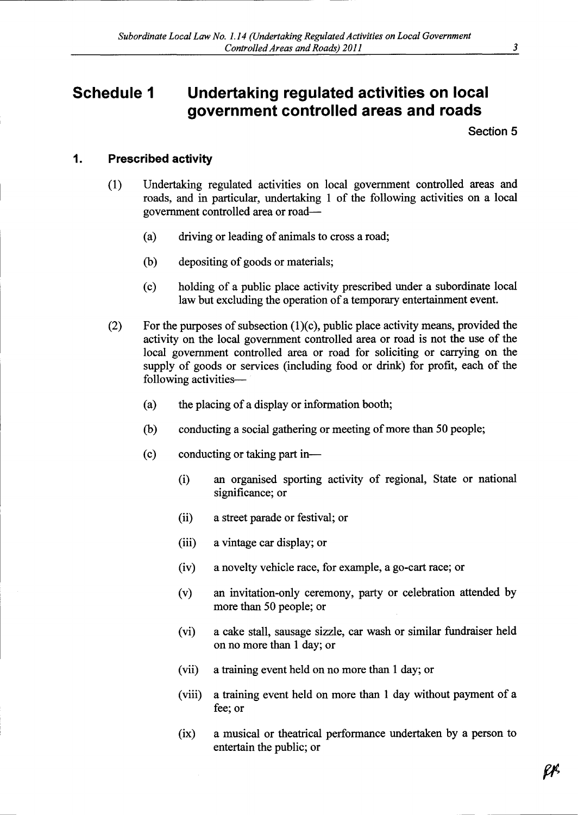## Schedule 1 Undertaking regulated activities on local government controlled areas and roads

Section 5

### 1. Prescribed activity

- (1) Undertaking regulated activities on local government controlled areas and roads, and in particular, undertaking 1 of the following activities on <sup>a</sup> local government controlled area or road--
	- (a) driving or leading of animals to cross <sup>a</sup> road;
	- (b) depositing of goods or materials;
	- (c) holding of <sup>a</sup> public place activity prescribed under <sup>a</sup> subordinate local law but excluding the operation of <sup>a</sup> temporary entertainment event.
- (2) For the purposes of subsection  $(1)(c)$ , public place activity means, provided the activity on the local government controlled area or road is not the use of the local government controlled area or road for soliciting or carrying on the supply of goods or services (including food or drink) for profit, each of the following activities-
	- (a) the placing of <sup>a</sup> display or information booth;
	- (b) conducting <sup>a</sup> social gathering or meeting of more than 50 people;
	- (c) conducting or taking part in--
		- (i) an organised sporting activity of regional, State or national significance; or
		- (ii) <sup>a</sup> street parade or festival; or
		- (iii) <sup>a</sup> vintage car display; or
		- (iv) <sup>a</sup> novelty vehicle race, for example, <sup>a</sup> go-cart race; or
		- (v) an invitation-only ceremony, party or celebration attended by more than 50 people; or
		- (vi) <sup>a</sup> cake stall, sausage sizzle, car wash or similar fundraiser held on no more than 1 day; or
		- (vii) <sup>a</sup> training event held on no more than 1 day; or
		- (viii) <sup>a</sup> training event held on more than 1 day without payment of <sup>a</sup> fee; or
		- (ix) <sup>a</sup> musical or theatrical performance undertaken by <sup>a</sup> person to entertain the public; or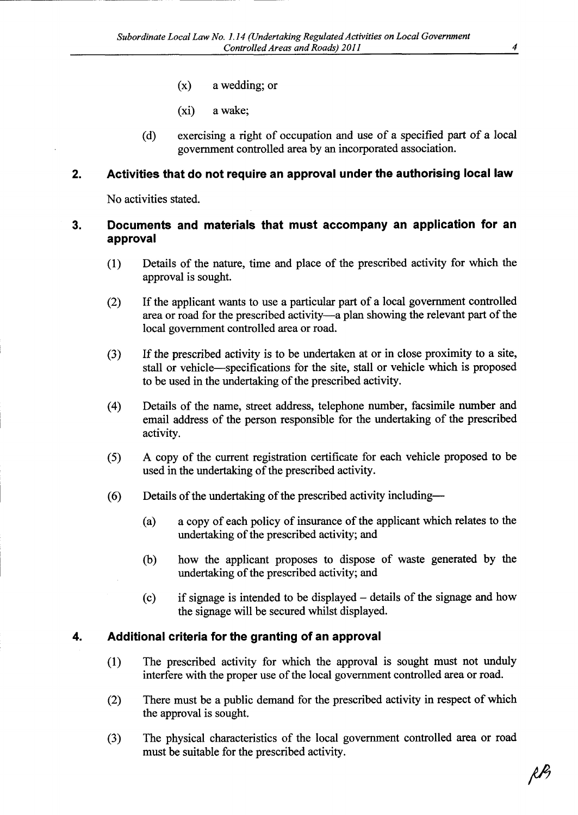- (x) <sup>a</sup> wedding; or
- (xi) <sup>a</sup> wake;
- (d) exercising <sup>a</sup> right of occupation and use of <sup>a</sup> specified part of <sup>a</sup> local government controlled area by an incorporated association.

#### 2. Activities that do not require an approval under the authorising local law

No activities stated.

### 3. Documents and materials that must accompany an application for an approval

- (1) Details of the nature, time and place of the prescribed activity for which the approval is sought.
- (2) If the applicant wants to use <sup>a</sup> particular part of <sup>a</sup> local government controlled area or road for the prescribed activity-a plan showing the relevant part of the local government controlled area or road.
- (3) If the prescribed activity is to be undertaken at or in close proximity to <sup>a</sup> site, stall or vehicle-specifications for the site, stall or vehicle which is proposed to be used in the undertaking of the prescribed activity.
- (4) Details of the name, street address, telephone number, facsimile number and email address of the person responsible for the undertaking of the prescribed activity.
- (5) A copy of the current registration certificate for each vehicle proposed to be used in the undertaking of the prescribed activity.
- (6) Details of the undertaking of the prescribed activity including-
	- (a) <sup>a</sup> copy of each policy of insurance of the applicant which relates to the undertaking of the prescribed activity; and
	- (b) how the applicant proposes to dispose of waste generated by the undertaking of the prescribed activity; and
	- (c) if signage is intended to be displayed details of the signage and how the signage will be secured whilst displayed.

### 4. Additional criteria for the granting of an approval

- (1) The prescribed activity for which the approval is sought must not unduly interfere with the proper use of the local government controlled area or road.
- (2) There must be <sup>a</sup> public demand for the prescribed activity in respect of which the approval is sought.
- (3) The physical characteristics of the local government controlled area or road must be suitable for the prescribed activity.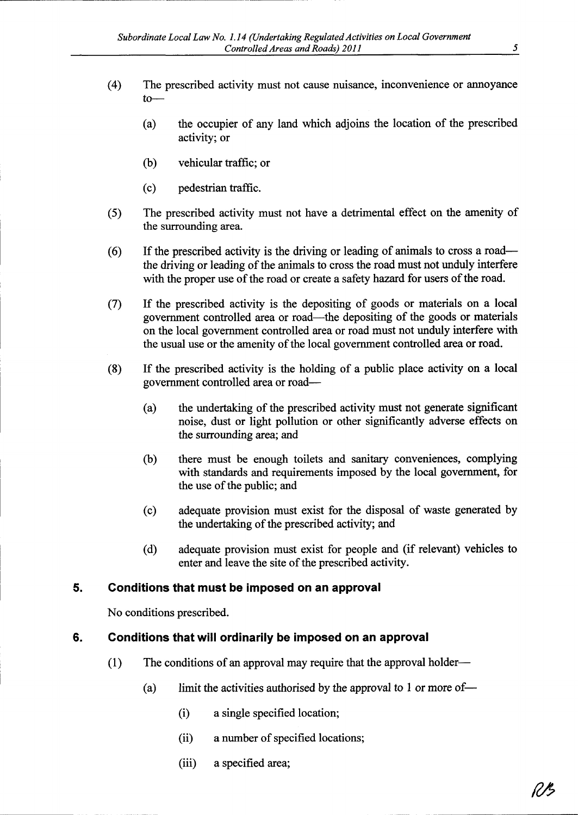- (4) The prescribed activity must not cause nuisance, inconvenience or annoyance  $t_0$ 
	- (a) the occupier of any land which adjoins the location of the prescribed activity; or
	- (b) vehicular traffic; or
	- (c) pedestrian traffic.
- (5) The prescribed activity must not have <sup>a</sup> detrimental effect on the amenity of the surrounding area.
- (6) If the prescribed activity is the driving or leading of animals to cross <sup>a</sup> roadthe driving or leading of the animals to cross the road must not unduly interfere with the proper use of the road or create <sup>a</sup> safety hazard for users of the road.
- (7) If the prescribed activity is the depositing of goods or materials on <sup>a</sup> local government controlled area or road-the depositing of the goods or materials on the local government controlled area or road must not unduly interfere with the usual use or the amenity of the local government controlled area or road.
- (8) If the prescribed activity is the holding of <sup>a</sup> public place activity on <sup>a</sup> local government controlled area or road-
	- (a) the undertaking of the prescribed activity must not generate significant noise, dust or light pollution or other significantly adverse effects on the surrounding area; and
	- (b) there must be enough toilets and sanitary conveniences, complying with standards and requirements imposed by the local government, for the use of the public; and
	- (c) adequate provision must exist for the disposal of waste generated by the undertaking of the prescribed activity; and
	- (d) adequate provision must exist for people and (if relevant) vehicles to enter and leave the site of the prescribed activity.

### 5. Conditions that must be imposed on an approval

No conditions prescribed.

### 6. Conditions that will ordinarily be imposed on an approval

- (1) The conditions of an approval may require that the approval holder-
	- (a) limit the activities authorised by the approval to 1 or more of-
		- (i) <sup>a</sup> single specified location;
		- (ii) <sup>a</sup> number of specified locations;
		- (iii) <sup>a</sup> specified area;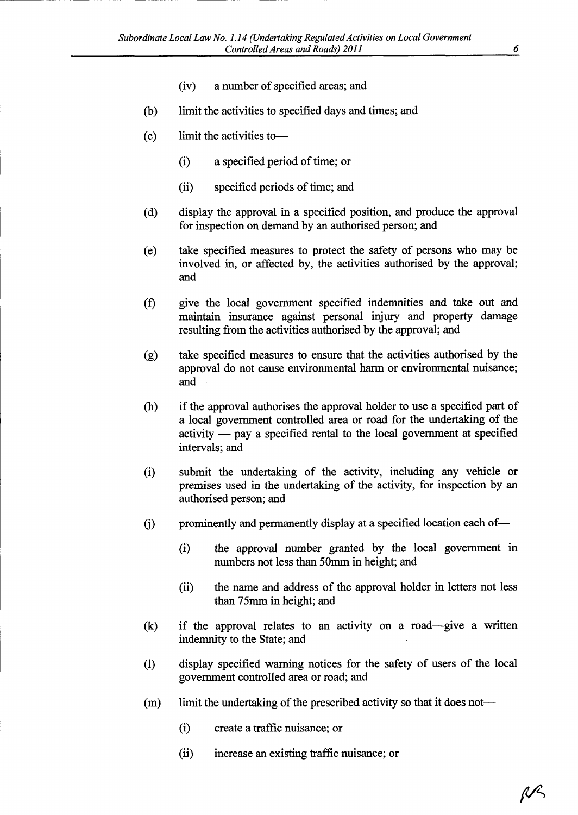- (iv) <sup>a</sup> number of specified areas; and
- (b) limit the activities to specified days and times; and
- (c) limit the activities to
	- (i) <sup>a</sup> specified period of time; or
	- (ii) specified periods of time; and
- (d) display the approval in <sup>a</sup> specified position, and produce the approval for inspection on demand by an authorised person; and
- (e) take specified measures to protect the safety of persons who may be involved in, or affected by, the activities authorised by the approval; and
- (f) give the local government specified indemnities and take out and maintain insurance against personal injury and property damage resulting from the activities authorised by the approval; and
- (g) take specified measures to ensure that the activities authorised by the approval do not cause environmental harm or environmental nuisance; and
- (h) if the approval authorises the approval holder to use <sup>a</sup> specified part of <sup>a</sup> local government controlled area or road for the undertaking of the activity  $-$  pay a specified rental to the local government at specified intervals; and
- (i) submit the undertaking of the activity, including any vehicle or premises used in the undertaking of the activity, for inspection by an authorised person; and
- (i) prominently and permanently display at a specified location each of---
	- (i) the approval number granted by the local government in numbers not less than 50mm in height; and
	- (ii) the name and address of the approval holder in letters not less than 75mm in height; and
- (k) if the approval relates to an activity on <sup>a</sup> road--give <sup>a</sup> written indemnity to the State; and
- (1) display specified warning notices for the safety of users of the local government controlled area or road; and
- (m) limit the undertaking of the prescribed activity so that it does not--
	- (i) create <sup>a</sup> traffic nuisance; or
	- (ii) increase an existing traffic nuisance; or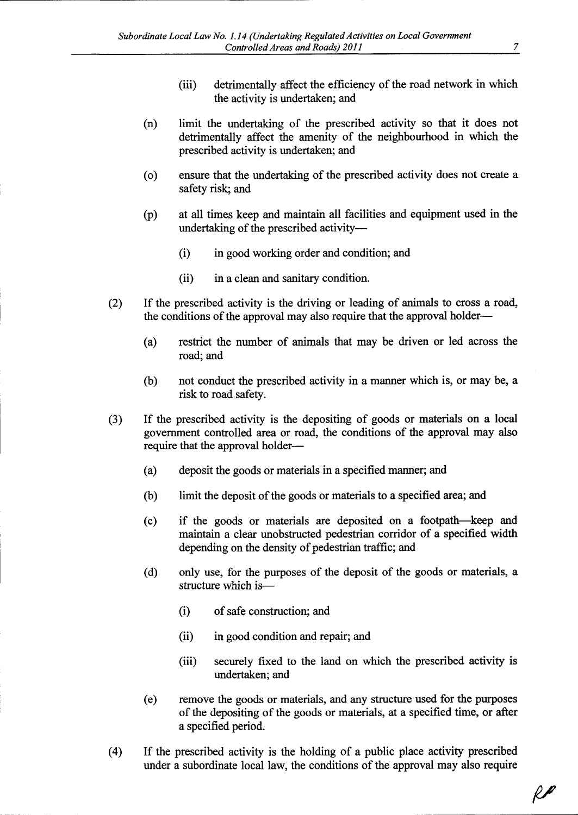- (iii) detrimentally affect the efficiency of the road network in which the activity is undertaken; and
- (n) limit the undertaking of the prescribed activity so that it does not detrimentally affect the amenity of the neighbourhood in which the prescribed activity is undertaken; and
- (o) ensure that the undertaking of the prescribed activity does not create <sup>a</sup> safety risk; and
- (p) at all times keep and maintain all facilities and equipment used in the undertaking of the prescribed activity---
	- (i) in good working order and condition; and
	- (ii) in <sup>a</sup> clean and sanitary condition.
- (2) If the prescribed activity is the driving or leading of animals to cross <sup>a</sup> road, the conditions of the approval may also require that the approval holder-
	- (a) restrict the number of animals that may be driven or led across the road; and
	- (b) not conduct the prescribed activity in <sup>a</sup> manner which is, or may be, <sup>a</sup> risk to road safety.
- (3) If the prescribed activity is the depositing of goods or materials on <sup>a</sup> local government controlled area or road, the conditions of the approval may also require that the approval holder-
	- (a) deposit the goods or materials in <sup>a</sup> specified manner; and
	- (b) limit the deposit of the goods or materials to <sup>a</sup> specified area; and
	- (c) if the goods or materials are deposited on <sup>a</sup> footpath-keep and maintain <sup>a</sup> clear unobstructed pedestrian corridor of <sup>a</sup> specified width depending on the density of pedestrian traffic; and
	- (d) only use, for the purposes of the deposit of the goods or materials, <sup>a</sup> structure which is-
		- (i) of safe construction; and
		- (ii) in good condition and repair; and
		- (iii) securely fixed to the land on which the prescribed activity is undertaken; and
	- (e) remove the goods or materials, and any structure used for the purposes of the depositing of the goods or materials, at <sup>a</sup> specified time, or after <sup>a</sup> specified period.
- (4) If the prescribed activity is the holding of <sup>a</sup> public place activity prescribed under <sup>a</sup> subordinate local law, the conditions of the approval may also require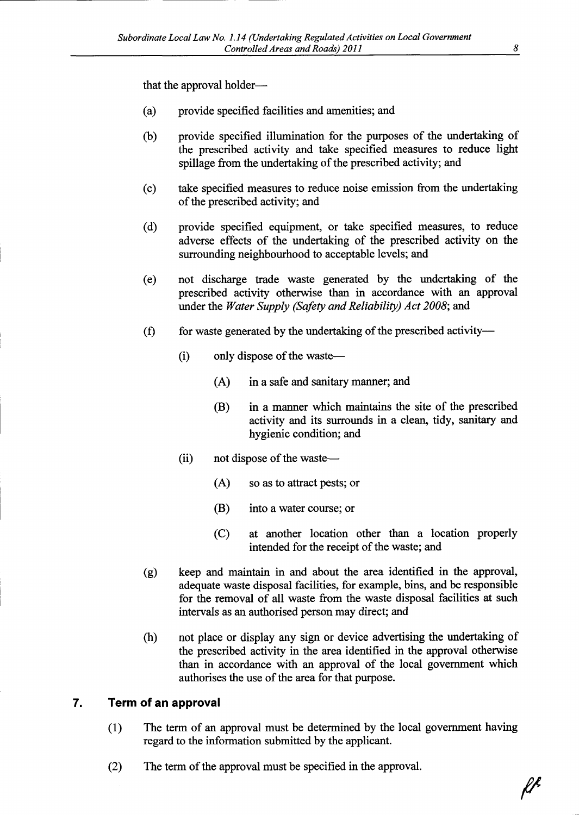that the approval holder-

- (a) provide specified facilities and amenities; and
- (b) provide specified illumination for the purposes of the undertaking of the prescribed activity and take specified measures to reduce light spillage from the undertaking of the prescribed activity; and
- (c) take specified measures to reduce noise emission from the undertaking of the prescribed activity; and
- (d) provide specified equipment, or take specified measures, to reduce adverse effects of the undertaking of the prescribed activity on the surrounding neighbourhood to acceptable levels; and
- (e) not discharge trade waste generated by the undertaking of the prescribed activity otherwise than in accordance with an approval under the Water Supply (Safety and Reliability) Act 2008; and
- $(f)$  for waste generated by the undertaking of the prescribed activity-
	- (i) only dispose of the waste—
		- (A) in <sup>a</sup> safe and sanitary manner; and
		- (B) in <sup>a</sup> manner which maintains the site of the prescribed activity and its surrounds in <sup>a</sup> clean, tidy, sanitary and hygienic condition; and
	- $(ii)$  not dispose of the waste—
		- (A) so as to attract pests; or
		- (B) into <sup>a</sup> water course; or
		- (C) at another location other than <sup>a</sup> location properly intended for the receipt of the waste; and
- (g) keep and maintain in and about the area identified in the approval, adequate waste disposal facilities, for example, bins, and be responsible for the removal of all waste from the waste disposal facilities at such intervals as an authorised person may direct; and
- (h) not place or display any sign or device advertising the undertaking of the prescribed activity in the area identified in the approval otherwise than in accordance with an approval of the local government which authorises the use of the area for that purpose.

### 7. Term of an approval

- (1) The term of an approval must be determined by the local government having regard to the information submitted by the applicant.
- (2) The term of the approval must be specified in the approval.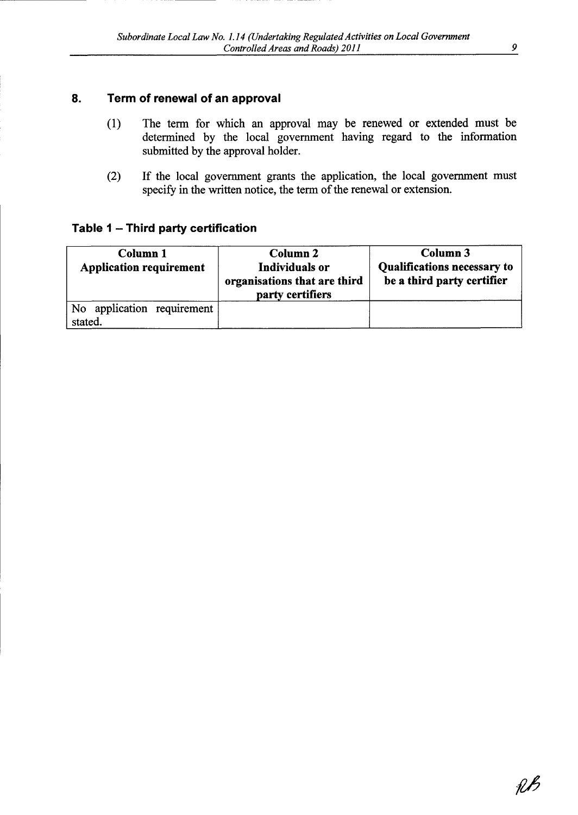### 8. Term of renewal of an approval

- (1) The term for which an approval may be renewed or extended must be determined by the local government having regard to the information submitted by the approval holder.
- (2) If the local government grants the application, the local government must specify in the written notice, the term of the renewal or extension.

### Table 1 – Third party certificat

| Column 1<br><b>Application requirement</b> | <b>Column 2</b><br>Individuals or<br>organisations that are third<br>party certifiers | Column 3<br><b>Qualifications necessary to</b><br>be a third party certifier |
|--------------------------------------------|---------------------------------------------------------------------------------------|------------------------------------------------------------------------------|
| No application requirement<br>stated.      |                                                                                       |                                                                              |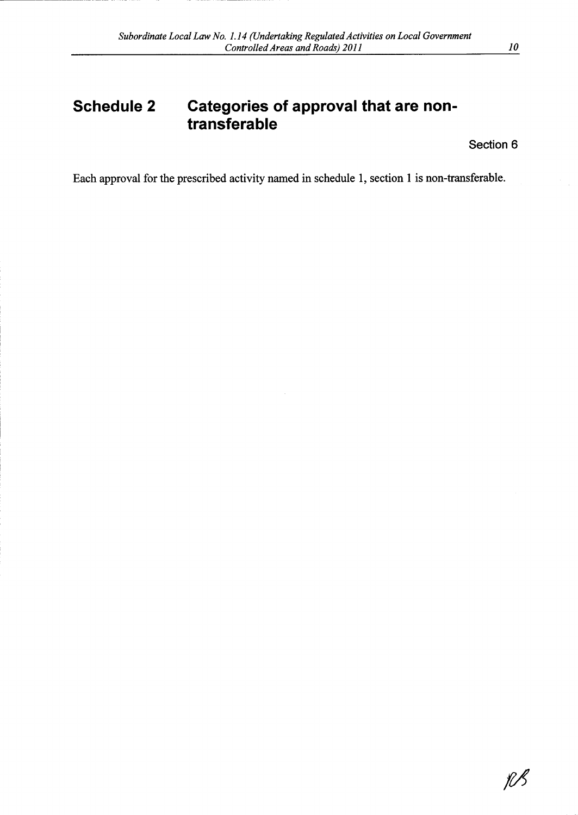## Schedule 2 Categories of approval that are nontransferable

Section 6

Each approval for the prescribed activity named in schedule 1, section I is non-transferable.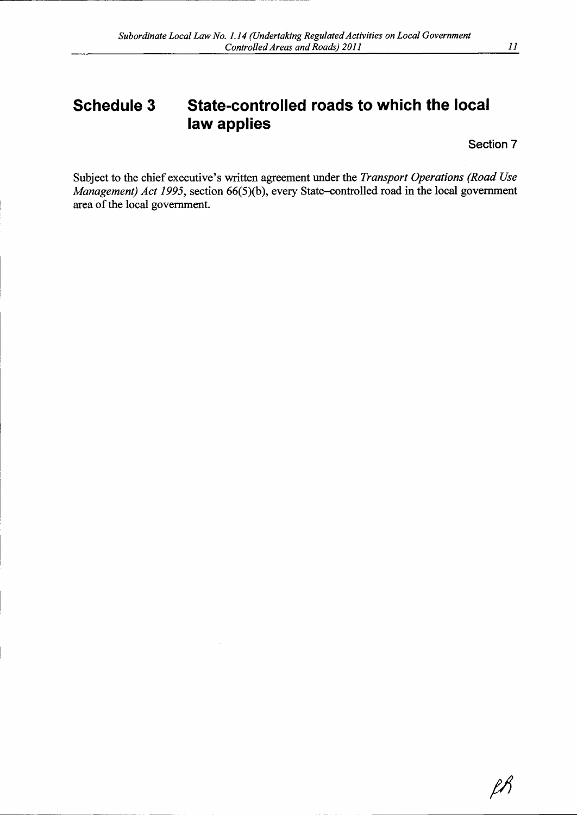# Schedule 3 State-controlled roads to which the local law applies

Section 7

 $\ell\hslash$ 

Subject to the chief executive's written agreement under the Transport Operations (Road Use Management) Act 1995, section  $66(5)(b)$ , every State-controlled road in the local government area of the local government.